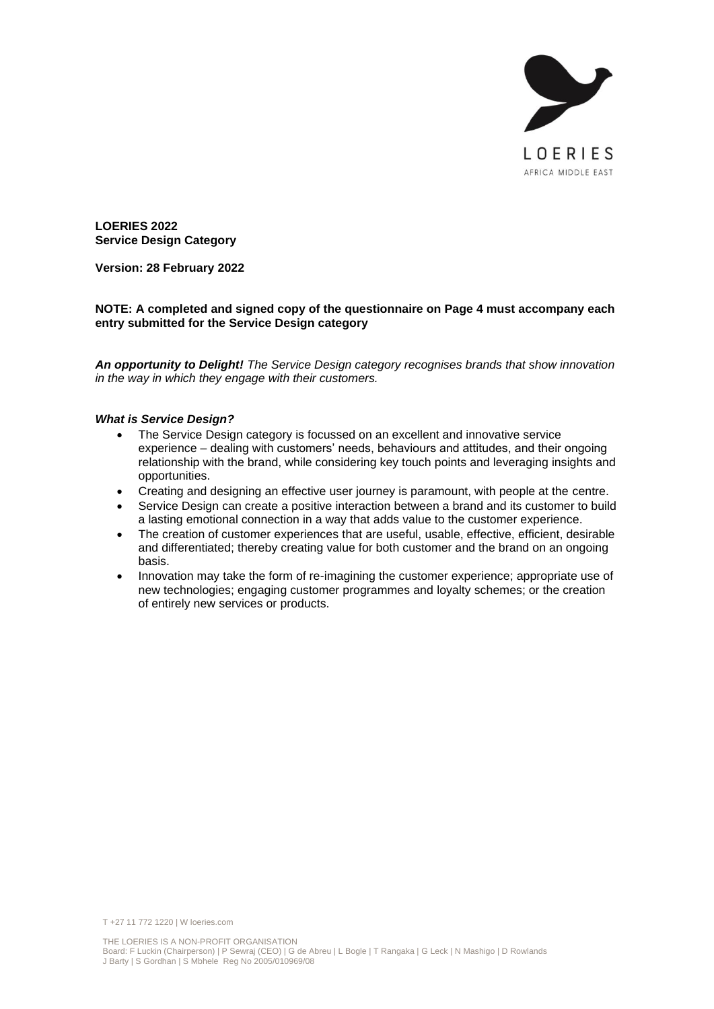

**LOERIES 2022 Service Design Category**

**Version: 28 February 2022**

### **NOTE: A completed and signed copy of the questionnaire on Page 4 must accompany each entry submitted for the Service Design category**

*An opportunity to Delight! The Service Design category recognises brands that show innovation in the way in which they engage with their customers.*

#### *What is Service Design?*

- The Service Design category is focussed on an excellent and innovative service experience – dealing with customers' needs, behaviours and attitudes, and their ongoing relationship with the brand, while considering key touch points and leveraging insights and opportunities.
- Creating and designing an effective user journey is paramount, with people at the centre.
- Service Design can create a positive interaction between a brand and its customer to build a lasting emotional connection in a way that adds value to the customer experience.
- The creation of customer experiences that are useful, usable, effective, efficient, desirable and differentiated; thereby creating value for both customer and the brand on an ongoing basis.
- Innovation may take the form of re-imagining the customer experience; appropriate use of new technologies; engaging customer programmes and loyalty schemes; or the creation of entirely new services or products.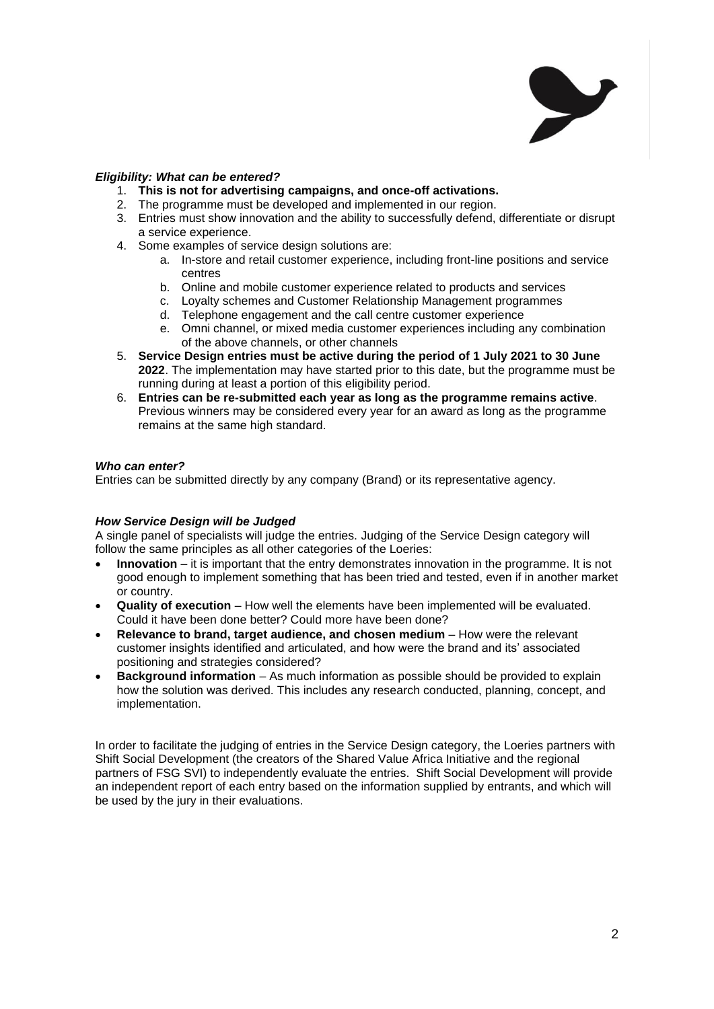

### *Eligibility: What can be entered?*

- 1. **This is not for advertising campaigns, and once-off activations.**
- 2. The programme must be developed and implemented in our region.
- 3. Entries must show innovation and the ability to successfully defend, differentiate or disrupt a service experience.
- 4. Some examples of service design solutions are:
	- a. In-store and retail customer experience, including front-line positions and service centres
	- b. Online and mobile customer experience related to products and services
	- c. Loyalty schemes and Customer Relationship Management programmes
	- d. Telephone engagement and the call centre customer experience
	- e. Omni channel, or mixed media customer experiences including any combination of the above channels, or other channels
- 5. **Service Design entries must be active during the period of 1 July 2021 to 30 June 2022**. The implementation may have started prior to this date, but the programme must be running during at least a portion of this eligibility period.
- 6. **Entries can be re-submitted each year as long as the programme remains active**. Previous winners may be considered every year for an award as long as the programme remains at the same high standard.

### *Who can enter?*

Entries can be submitted directly by any company (Brand) or its representative agency.

## *How Service Design will be Judged*

A single panel of specialists will judge the entries. Judging of the Service Design category will follow the same principles as all other categories of the Loeries:

- **Innovation** it is important that the entry demonstrates innovation in the programme. It is not good enough to implement something that has been tried and tested, even if in another market or country.
- **Quality of execution** How well the elements have been implemented will be evaluated. Could it have been done better? Could more have been done?
- **Relevance to brand, target audience, and chosen medium** How were the relevant customer insights identified and articulated, and how were the brand and its' associated positioning and strategies considered?
- **Background information** As much information as possible should be provided to explain how the solution was derived. This includes any research conducted, planning, concept, and implementation.

In order to facilitate the judging of entries in the Service Design category, the Loeries partners with Shift Social Development (the creators of the Shared Value Africa Initiative and the regional partners of FSG SVI) to independently evaluate the entries. Shift Social Development will provide an independent report of each entry based on the information supplied by entrants, and which will be used by the jury in their evaluations.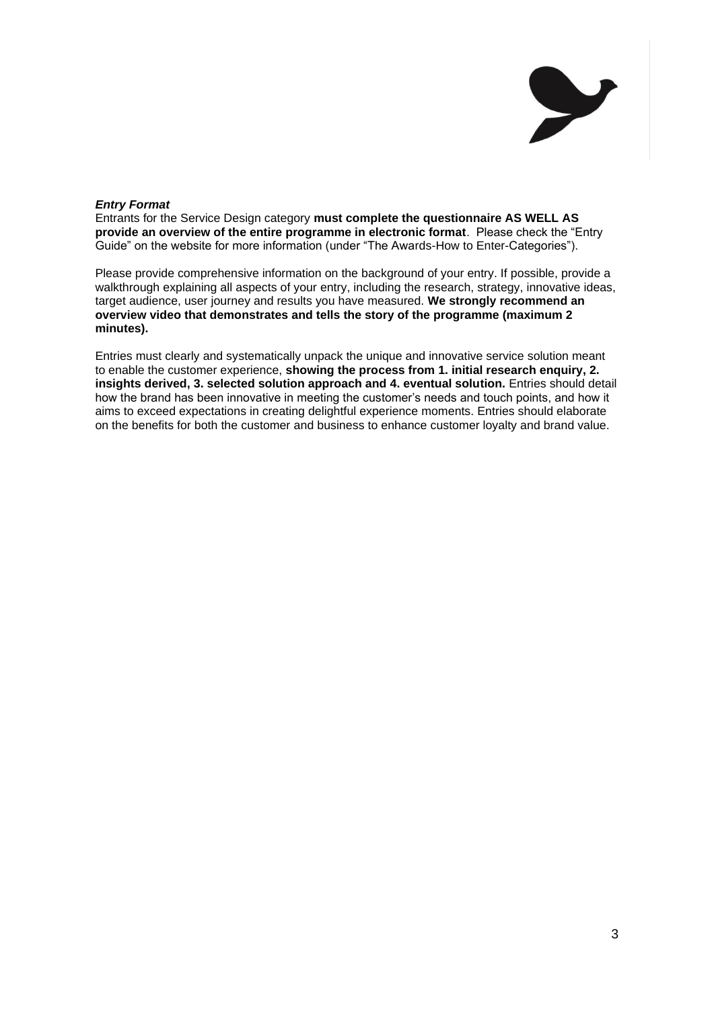

### *Entry Format*

Entrants for the Service Design category **must complete the questionnaire AS WELL AS provide an overview of the entire programme in electronic format**. Please check the "Entry Guide" on the website for more information (under "The Awards-How to Enter-Categories").

Please provide comprehensive information on the background of your entry. If possible, provide a walkthrough explaining all aspects of your entry, including the research, strategy, innovative ideas, target audience, user journey and results you have measured. **We strongly recommend an overview video that demonstrates and tells the story of the programme (maximum 2 minutes).**

Entries must clearly and systematically unpack the unique and innovative service solution meant to enable the customer experience, **showing the process from 1. initial research enquiry, 2. insights derived, 3. selected solution approach and 4. eventual solution.** Entries should detail how the brand has been innovative in meeting the customer's needs and touch points, and how it aims to exceed expectations in creating delightful experience moments. Entries should elaborate on the benefits for both the customer and business to enhance customer loyalty and brand value.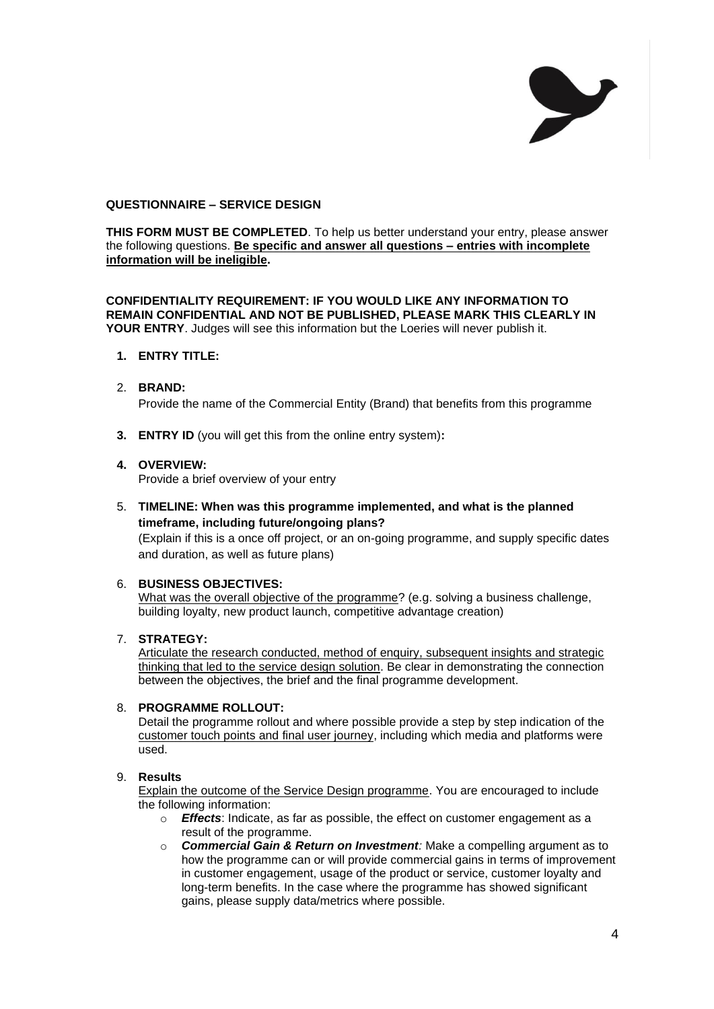

## **QUESTIONNAIRE – SERVICE DESIGN**

**THIS FORM MUST BE COMPLETED.** To help us better understand your entry, please answer the following questions. **Be specific and answer all questions – entries with incomplete information will be ineligible.**

**CONFIDENTIALITY REQUIREMENT: IF YOU WOULD LIKE ANY INFORMATION TO REMAIN CONFIDENTIAL AND NOT BE PUBLISHED, PLEASE MARK THIS CLEARLY IN YOUR ENTRY**. Judges will see this information but the Loeries will never publish it.

#### **1. ENTRY TITLE:**

#### 2. **BRAND:**

Provide the name of the Commercial Entity (Brand) that benefits from this programme

**3. ENTRY ID** (you will get this from the online entry system)**:**

#### **4. OVERVIEW:**

Provide a brief overview of your entry

5. **TIMELINE: When was this programme implemented, and what is the planned timeframe, including future/ongoing plans?**

(Explain if this is a once off project, or an on-going programme, and supply specific dates and duration, as well as future plans)

#### 6. **BUSINESS OBJECTIVES:**

What was the overall objective of the programme? (e.g. solving a business challenge, building loyalty, new product launch, competitive advantage creation)

### 7. **STRATEGY:**

Articulate the research conducted, method of enquiry, subsequent insights and strategic thinking that led to the service design solution. Be clear in demonstrating the connection between the objectives, the brief and the final programme development.

### 8. **PROGRAMME ROLLOUT:**

Detail the programme rollout and where possible provide a step by step indication of the customer touch points and final user journey, including which media and platforms were used.

#### 9. **Results**

Explain the outcome of the Service Design programme. You are encouraged to include the following information:

- o *Effects*: Indicate, as far as possible, the effect on customer engagement as a result of the programme.
- o *Commercial Gain & Return on Investment:* Make a compelling argument as to how the programme can or will provide commercial gains in terms of improvement in customer engagement, usage of the product or service, customer loyalty and long-term benefits. In the case where the programme has showed significant gains, please supply data/metrics where possible.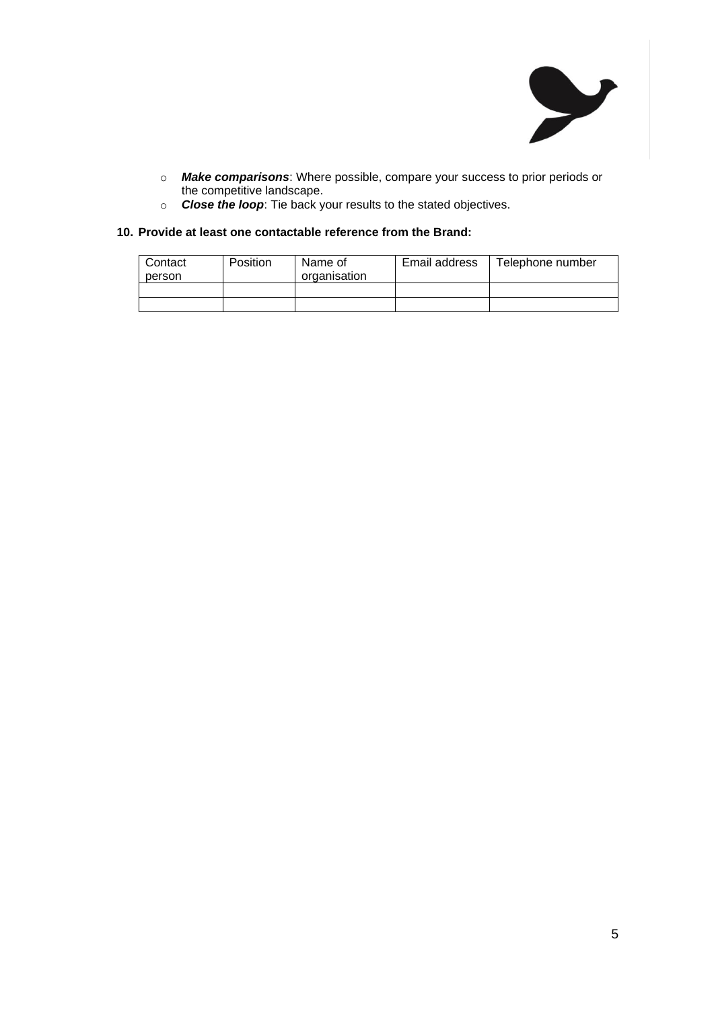

- o *Make comparisons*: Where possible, compare your success to prior periods or the competitive landscape.
- o *Close the loop*: Tie back your results to the stated objectives.

## **10. Provide at least one contactable reference from the Brand:**

| Contact<br>person | Position | Name of<br>organisation | Email address | Telephone number |
|-------------------|----------|-------------------------|---------------|------------------|
|                   |          |                         |               |                  |
|                   |          |                         |               |                  |